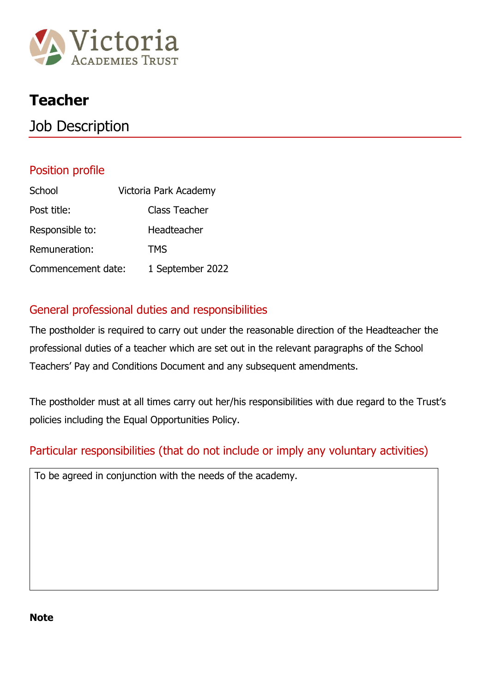

## **Teacher**

## Job Description

#### Position profile

| School             | Victoria Park Academy |
|--------------------|-----------------------|
| Post title:        | Class Teacher         |
| Responsible to:    | Headteacher           |
| Remuneration:      | TMS                   |
| Commencement date: | 1 September 2022      |

#### General professional duties and responsibilities

The postholder is required to carry out under the reasonable direction of the Headteacher the professional duties of a teacher which are set out in the relevant paragraphs of the School Teachers' Pay and Conditions Document and any subsequent amendments.

The postholder must at all times carry out her/his responsibilities with due regard to the Trust's policies including the Equal Opportunities Policy.

#### Particular responsibilities (that do not include or imply any voluntary activities)

To be agreed in conjunction with the needs of the academy.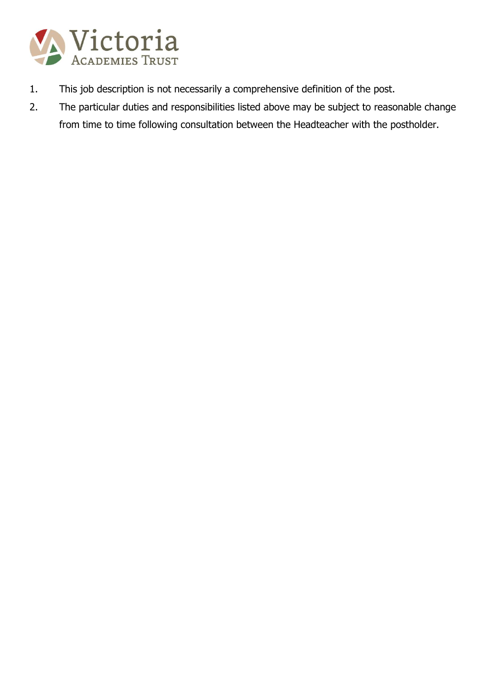

- 1. This job description is not necessarily a comprehensive definition of the post.
- 2. The particular duties and responsibilities listed above may be subject to reasonable change from time to time following consultation between the Headteacher with the postholder.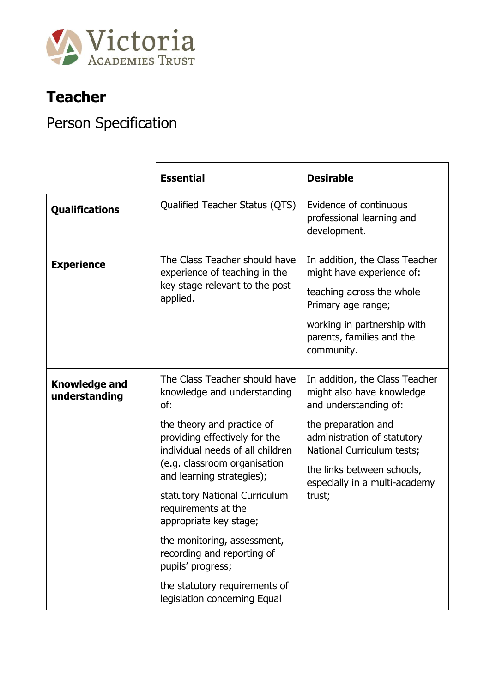

## **Teacher**

# Person Specification

|                                       | <b>Essential</b>                                                                                                                                                                                                                                                                                                                                                                                                                                                         | <b>Desirable</b>                                                                                                                                                                                                                                  |
|---------------------------------------|--------------------------------------------------------------------------------------------------------------------------------------------------------------------------------------------------------------------------------------------------------------------------------------------------------------------------------------------------------------------------------------------------------------------------------------------------------------------------|---------------------------------------------------------------------------------------------------------------------------------------------------------------------------------------------------------------------------------------------------|
| <b>Qualifications</b>                 | Qualified Teacher Status (QTS)                                                                                                                                                                                                                                                                                                                                                                                                                                           | Evidence of continuous<br>professional learning and<br>development.                                                                                                                                                                               |
| <b>Experience</b>                     | The Class Teacher should have<br>experience of teaching in the<br>key stage relevant to the post<br>applied.                                                                                                                                                                                                                                                                                                                                                             | In addition, the Class Teacher<br>might have experience of:<br>teaching across the whole<br>Primary age range;<br>working in partnership with<br>parents, families and the<br>community.                                                          |
| <b>Knowledge and</b><br>understanding | The Class Teacher should have<br>knowledge and understanding<br>of:<br>the theory and practice of<br>providing effectively for the<br>individual needs of all children<br>(e.g. classroom organisation<br>and learning strategies);<br>statutory National Curriculum<br>requirements at the<br>appropriate key stage;<br>the monitoring, assessment,<br>recording and reporting of<br>pupils' progress;<br>the statutory requirements of<br>legislation concerning Equal | In addition, the Class Teacher<br>might also have knowledge<br>and understanding of:<br>the preparation and<br>administration of statutory<br>National Curriculum tests;<br>the links between schools,<br>especially in a multi-academy<br>trust; |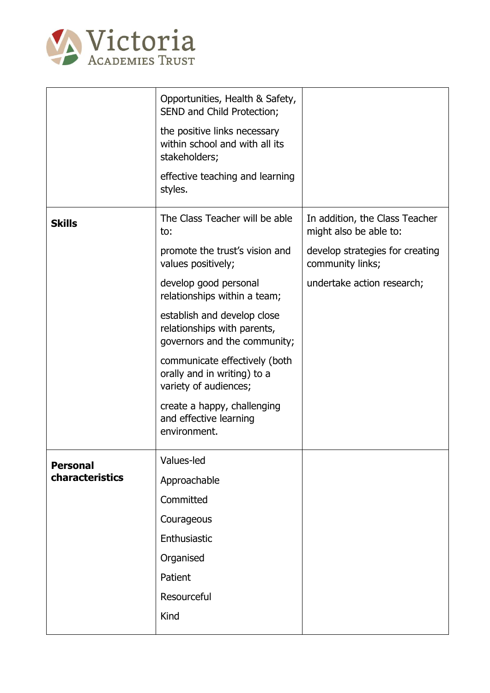

|                 | Opportunities, Health & Safety,<br>SEND and Child Protection;                              |                                                          |
|-----------------|--------------------------------------------------------------------------------------------|----------------------------------------------------------|
|                 | the positive links necessary<br>within school and with all its<br>stakeholders;            |                                                          |
|                 | effective teaching and learning<br>styles.                                                 |                                                          |
| <b>Skills</b>   | The Class Teacher will be able<br>to:                                                      | In addition, the Class Teacher<br>might also be able to: |
|                 | promote the trust's vision and<br>values positively;                                       | develop strategies for creating<br>community links;      |
|                 | develop good personal<br>relationships within a team;                                      | undertake action research;                               |
|                 | establish and develop close<br>relationships with parents,<br>governors and the community; |                                                          |
|                 | communicate effectively (both<br>orally and in writing) to a<br>variety of audiences;      |                                                          |
|                 | create a happy, challenging<br>and effective learning<br>environment.                      |                                                          |
| <b>Personal</b> | Values-led                                                                                 |                                                          |
| characteristics | Approachable                                                                               |                                                          |
|                 | Committed                                                                                  |                                                          |
|                 | Courageous                                                                                 |                                                          |
|                 | Enthusiastic                                                                               |                                                          |
|                 | Organised                                                                                  |                                                          |
|                 | Patient                                                                                    |                                                          |
|                 | Resourceful                                                                                |                                                          |
|                 | Kind                                                                                       |                                                          |
|                 |                                                                                            |                                                          |